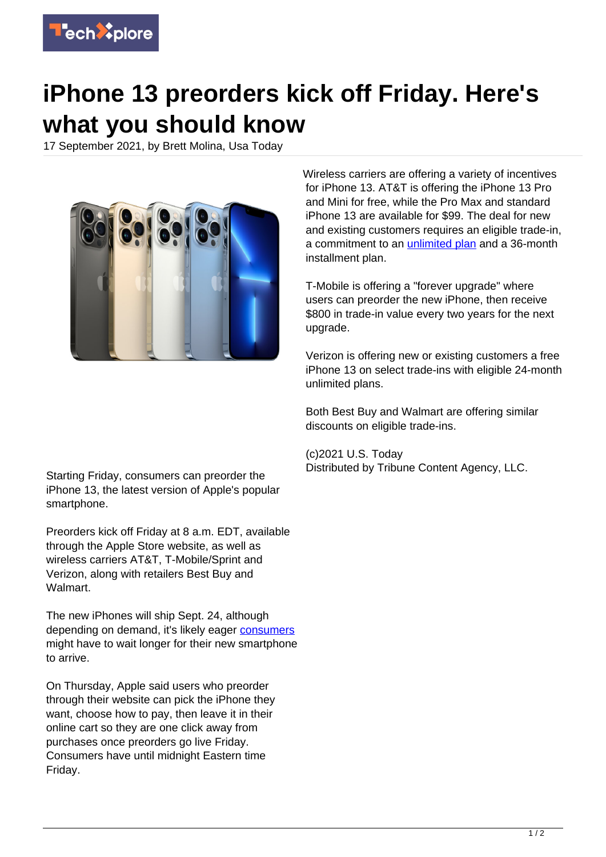

## **iPhone 13 preorders kick off Friday. Here's what you should know**

17 September 2021, by Brett Molina, Usa Today



Wireless carriers are offering a variety of incentives for iPhone 13. AT&T is offering the iPhone 13 Pro and Mini for free, while the Pro Max and standard iPhone 13 are available for \$99. The deal for new and existing customers requires an eligible trade-in, a commitment to an [unlimited plan](https://techxplore.com/tags/unlimited+plan/) and a 36-month installment plan.

T-Mobile is offering a "forever upgrade" where users can preorder the new iPhone, then receive \$800 in trade-in value every two years for the next upgrade.

Verizon is offering new or existing customers a free iPhone 13 on select trade-ins with eligible 24-month unlimited plans.

Both Best Buy and Walmart are offering similar discounts on eligible trade-ins.

(c)2021 U.S. Today Distributed by Tribune Content Agency, LLC.

Starting Friday, consumers can preorder the iPhone 13, the latest version of Apple's popular smartphone.

Preorders kick off Friday at 8 a.m. EDT, available through the Apple Store website, as well as wireless carriers AT&T, T-Mobile/Sprint and Verizon, along with retailers Best Buy and **Walmart** 

The new iPhones will ship Sept. 24, although depending on demand, it's likely eager [consumers](https://techxplore.com/tags/consumers/) might have to wait longer for their new smartphone to arrive.

On Thursday, Apple said users who preorder through their website can pick the iPhone they want, choose how to pay, then leave it in their online cart so they are one click away from purchases once preorders go live Friday. Consumers have until midnight Eastern time Friday.